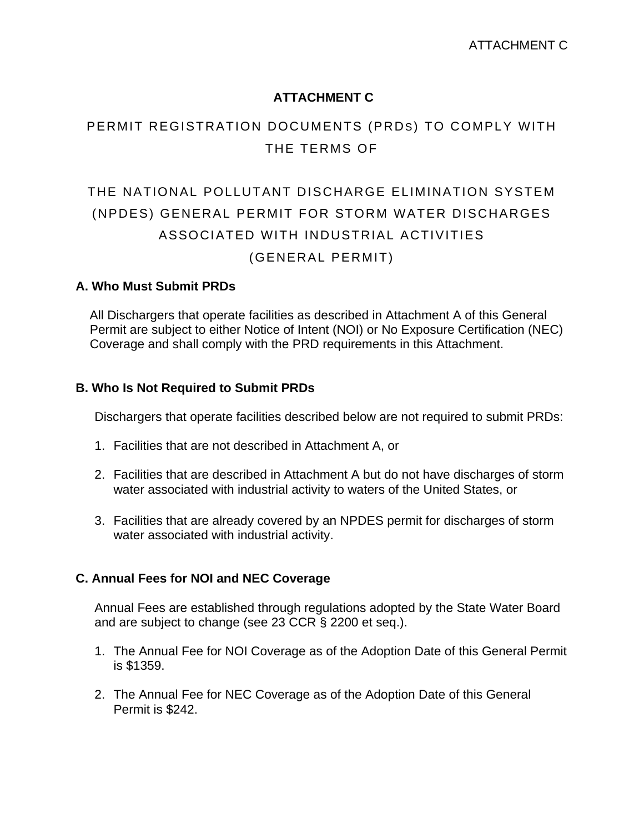# **ATTACHMENT C**

# PERMIT REGISTRATION DOCUMENTS (PRDS) TO COMPLY WITH THE TERMS OF

# THE NATIONAL POLLUTANT DISCHARGE ELIMINATION SYSTEM (NPDES) GENERAL PERMIT FOR STORM WATER DISCHARGES ASSOCIATED WITH INDUSTRIAL ACTIVITIES (GENERAL PERMIT)

### **A. Who Must Submit PRDs**

 All Dischargers that operate facilities as described in Attachment A of this General Permit are subject to either Notice of Intent (NOI) or No Exposure Certification (NEC) Coverage and shall comply with the PRD requirements in this Attachment.

### **B. Who Is Not Required to Submit PRDs**

Dischargers that operate facilities described below are not required to submit PRDs:

- 1. Facilities that are not described in Attachment A, or
- 2. Facilities that are described in Attachment A but do not have discharges of storm water associated with industrial activity to waters of the United States, or
- 3. Facilities that are already covered by an NPDES permit for discharges of storm water associated with industrial activity.

### **C. Annual Fees for NOI and NEC Coverage**

Annual Fees are established through regulations adopted by the State Water Board and are subject to change (see 23 CCR § 2200 et seq.).

- 1. The Annual Fee for NOI Coverage as of the Adoption Date of this General Permit is \$1359.
- 2. The Annual Fee for NEC Coverage as of the Adoption Date of this General Permit is \$242.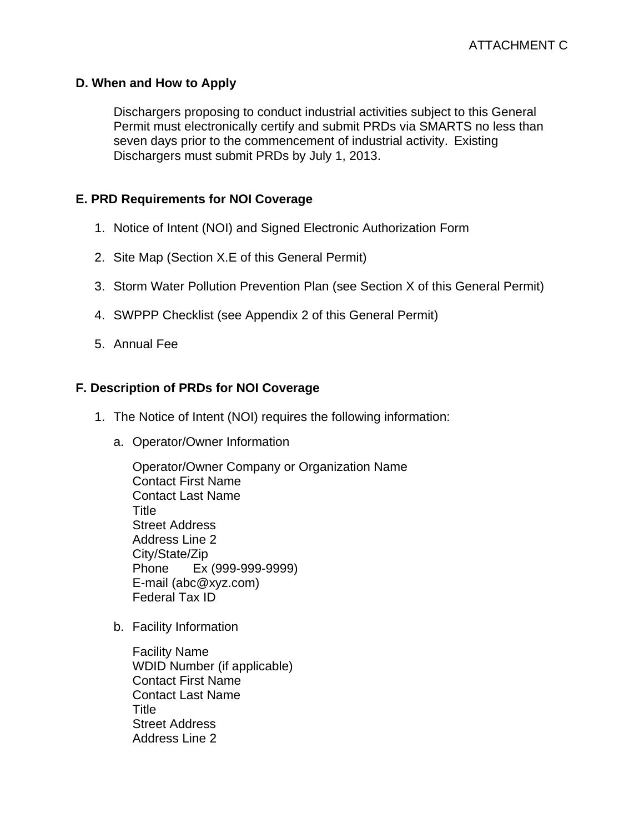### **D. When and How to Apply**

Dischargers proposing to conduct industrial activities subject to this General Permit must electronically certify and submit PRDs via SMARTS no less than seven days prior to the commencement of industrial activity. Existing Dischargers must submit PRDs by July 1, 2013.

# **E. PRD Requirements for NOI Coverage**

- 1. Notice of Intent (NOI) and Signed Electronic Authorization Form
- 2. Site Map (Section X.E of this General Permit)
- 3. Storm Water Pollution Prevention Plan (see Section X of this General Permit)
- 4. SWPPP Checklist (see Appendix 2 of this General Permit)
- 5. Annual Fee

# **F. Description of PRDs for NOI Coverage**

- 1. The Notice of Intent (NOI) requires the following information:
	- a. Operator/Owner Information

Operator/Owner Company or Organization Name Contact First Name Contact Last Name Title Street Address Address Line 2 City/State/Zip Phone Ex (999-999-9999) E-mail (abc@xyz.com) Federal Tax ID

b. Facility Information

Facility Name WDID Number (if applicable) Contact First Name Contact Last Name Title Street Address Address Line 2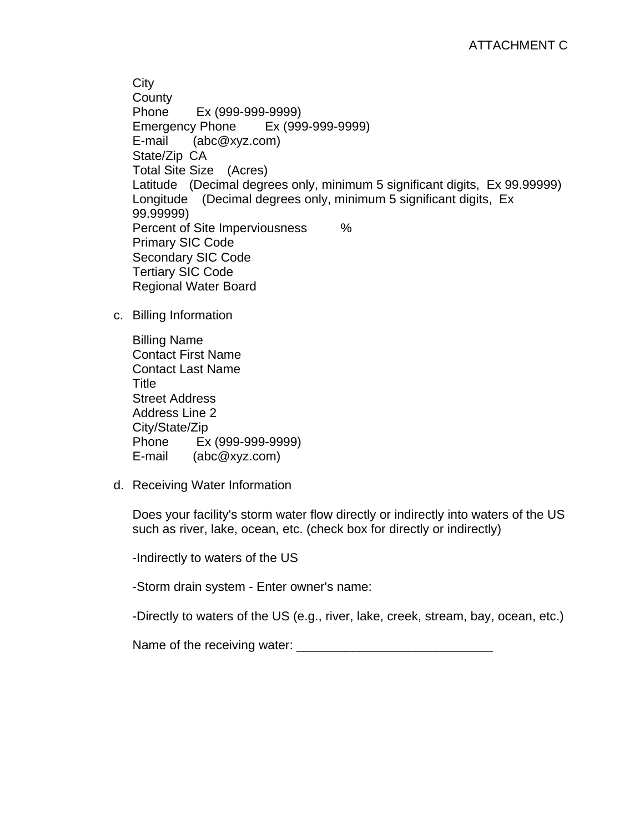**City County** Phone Ex (999-999-9999) Emergency Phone Ex (999-999-9999) E-mail (abc@xyz.com) State/Zip CA Total Site Size (Acres) Latitude (Decimal degrees only, minimum 5 significant digits, Ex 99.99999) Longitude (Decimal degrees only, minimum 5 significant digits, Ex 99.99999) Percent of Site Imperviousness % Primary SIC Code Secondary SIC Code Tertiary SIC Code Regional Water Board

c. Billing Information

Billing Name Contact First Name Contact Last Name Title Street Address Address Line 2 City/State/Zip Phone Ex (999-999-9999) E-mail (abc@xyz.com)

d. Receiving Water Information

Does your facility's storm water flow directly or indirectly into waters of the US such as river, lake, ocean, etc. (check box for directly or indirectly)

-Indirectly to waters of the US

-Storm drain system - Enter owner's name:

-Directly to waters of the US (e.g., river, lake, creek, stream, bay, ocean, etc.)

Name of the receiving water: \_\_\_\_\_\_\_\_\_\_\_\_\_\_\_\_\_\_\_\_\_\_\_\_\_\_\_\_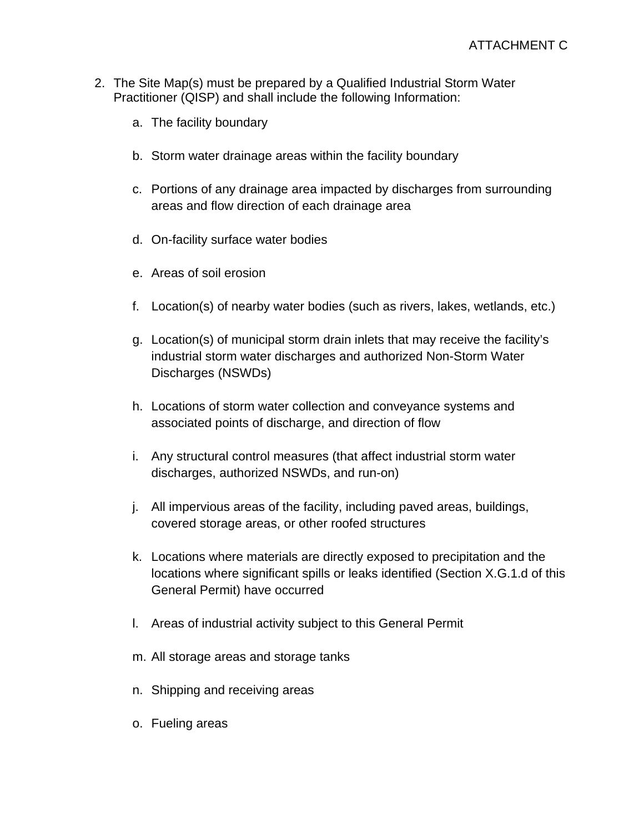- 2. The Site Map(s) must be prepared by a Qualified Industrial Storm Water Practitioner (QISP) and shall include the following Information:
	- a. The facility boundary
	- b. Storm water drainage areas within the facility boundary
	- c. Portions of any drainage area impacted by discharges from surrounding areas and flow direction of each drainage area
	- d. On-facility surface water bodies
	- e. Areas of soil erosion
	- f. Location(s) of nearby water bodies (such as rivers, lakes, wetlands, etc.)
	- g. Location(s) of municipal storm drain inlets that may receive the facility's industrial storm water discharges and authorized Non-Storm Water Discharges (NSWDs)
	- h. Locations of storm water collection and conveyance systems and associated points of discharge, and direction of flow
	- i. Any structural control measures (that affect industrial storm water discharges, authorized NSWDs, and run-on)
	- j. All impervious areas of the facility, including paved areas, buildings, covered storage areas, or other roofed structures
	- k. Locations where materials are directly exposed to precipitation and the locations where significant spills or leaks identified (Section X.G.1.d of this General Permit) have occurred
	- l. Areas of industrial activity subject to this General Permit
	- m. All storage areas and storage tanks
	- n. Shipping and receiving areas
	- o. Fueling areas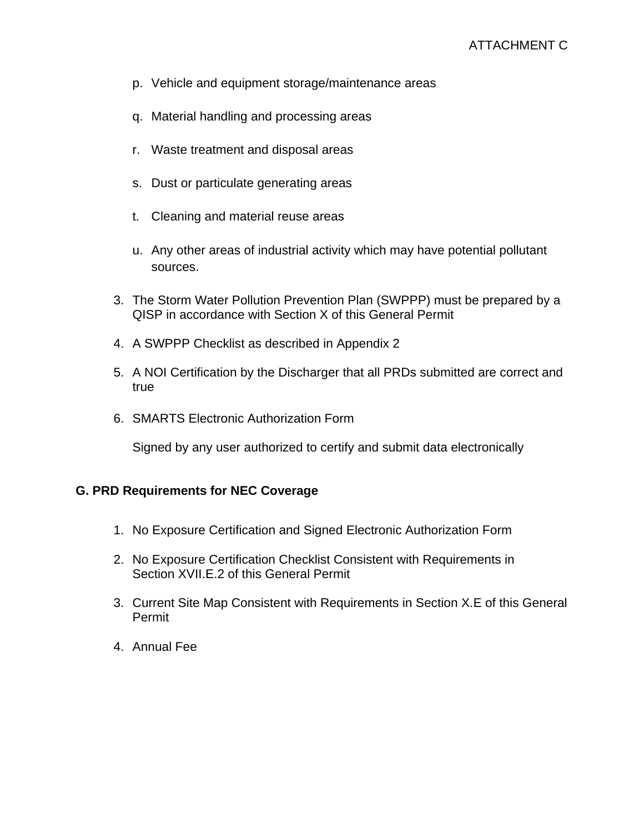- p. Vehicle and equipment storage/maintenance areas
- q. Material handling and processing areas
- r. Waste treatment and disposal areas
- s. Dust or particulate generating areas
- t. Cleaning and material reuse areas
- u. Any other areas of industrial activity which may have potential pollutant sources.
- 3. The Storm Water Pollution Prevention Plan (SWPPP) must be prepared by a QISP in accordance with Section X of this General Permit
- 4. A SWPPP Checklist as described in Appendix 2
- 5. A NOI Certification by the Discharger that all PRDs submitted are correct and true
- 6. SMARTS Electronic Authorization Form

Signed by any user authorized to certify and submit data electronically

#### **G. PRD Requirements for NEC Coverage**

- 1. No Exposure Certification and Signed Electronic Authorization Form
- 2. No Exposure Certification Checklist Consistent with Requirements in Section XVII.E.2 of this General Permit
- 3. Current Site Map Consistent with Requirements in Section X.E of this General Permit
- 4. Annual Fee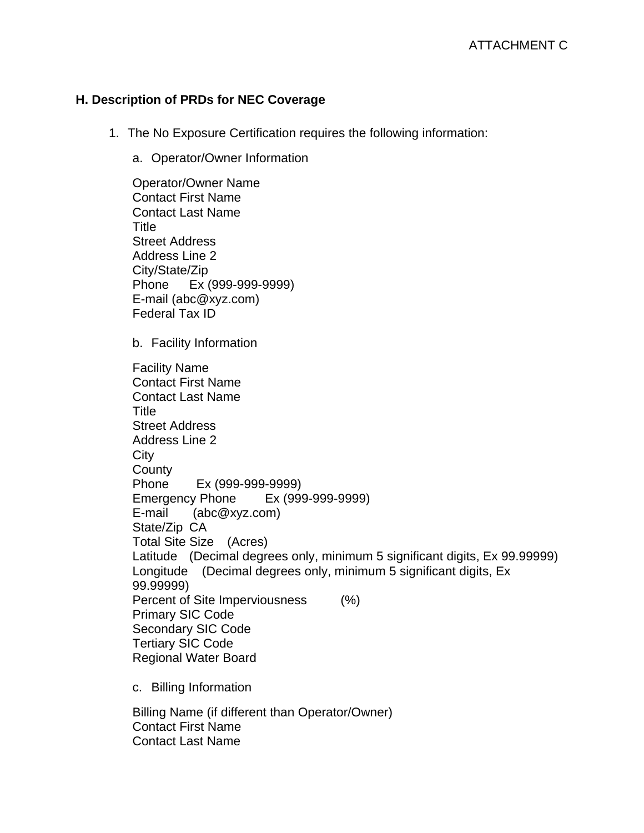# **H. Description of PRDs for NEC Coverage**

Contact First Name Contact Last Name

- 1. The No Exposure Certification requires the following information:
	- a. Operator/Owner Information

Operator/Owner Name Contact First Name Contact Last Name **Title** Street Address Address Line 2 City/State/Zip Phone Ex (999-999-9999) E-mail (abc@xyz.com) Federal Tax ID b. Facility Information Facility Name Contact First Name Contact Last Name Title Street Address Address Line 2 **City County** Phone Ex (999-999-9999) Emergency Phone Ex (999-999-9999) E-mail (abc@xyz.com) State/Zip CA Total Site Size (Acres) Latitude (Decimal degrees only, minimum 5 significant digits, Ex 99.99999) Longitude (Decimal degrees only, minimum 5 significant digits, Ex 99.99999) Percent of Site Imperviousness (%) Primary SIC Code Secondary SIC Code Tertiary SIC Code Regional Water Board c. Billing Information Billing Name (if different than Operator/Owner)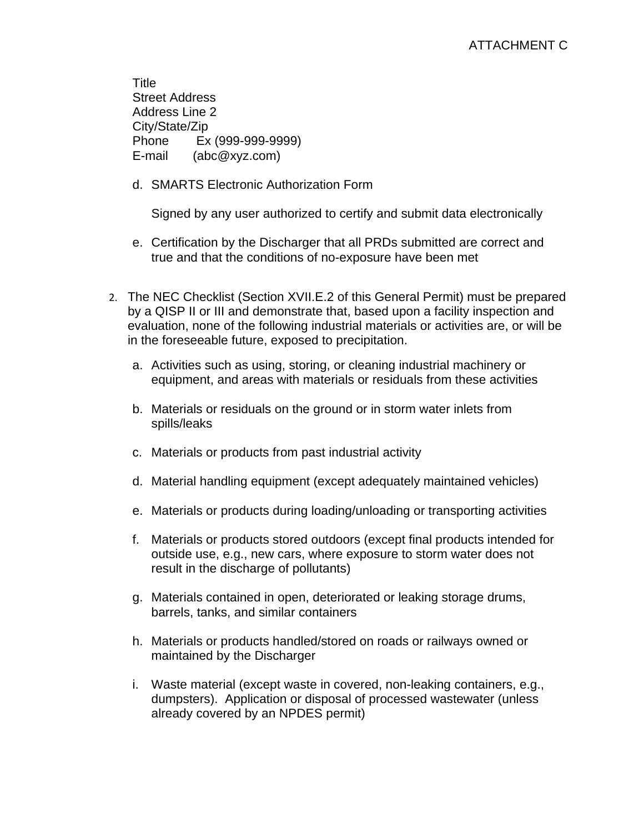**Title** Street Address Address Line 2 City/State/Zip Phone Ex (999-999-9999) E-mail (abc@xyz.com)

d. SMARTS Electronic Authorization Form

Signed by any user authorized to certify and submit data electronically

- e. Certification by the Discharger that all PRDs submitted are correct and true and that the conditions of no-exposure have been met
- 2. The NEC Checklist (Section XVII.E.2 of this General Permit) must be prepared by a QISP II or III and demonstrate that, based upon a facility inspection and evaluation, none of the following industrial materials or activities are, or will be in the foreseeable future, exposed to precipitation.
	- a. Activities such as using, storing, or cleaning industrial machinery or equipment, and areas with materials or residuals from these activities
	- b. Materials or residuals on the ground or in storm water inlets from spills/leaks
	- c. Materials or products from past industrial activity
	- d. Material handling equipment (except adequately maintained vehicles)
	- e. Materials or products during loading/unloading or transporting activities
	- f. Materials or products stored outdoors (except final products intended for outside use, e.g., new cars, where exposure to storm water does not result in the discharge of pollutants)
	- g. Materials contained in open, deteriorated or leaking storage drums, barrels, tanks, and similar containers
	- h. Materials or products handled/stored on roads or railways owned or maintained by the Discharger
	- i. Waste material (except waste in covered, non-leaking containers, e.g., dumpsters). Application or disposal of processed wastewater (unless already covered by an NPDES permit)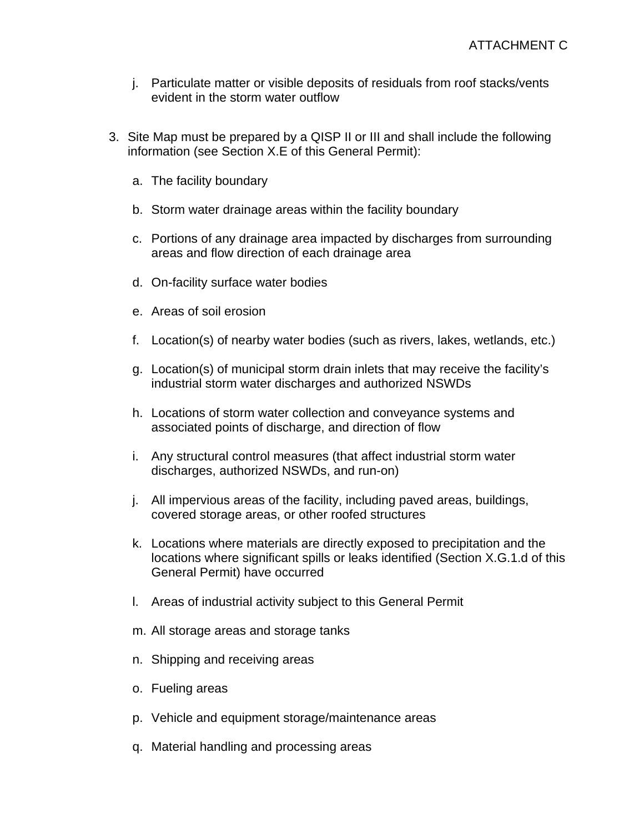- j. Particulate matter or visible deposits of residuals from roof stacks/vents evident in the storm water outflow
- 3. Site Map must be prepared by a QISP II or III and shall include the following information (see Section X.E of this General Permit):
	- a. The facility boundary
	- b. Storm water drainage areas within the facility boundary
	- c. Portions of any drainage area impacted by discharges from surrounding areas and flow direction of each drainage area
	- d. On-facility surface water bodies
	- e. Areas of soil erosion
	- f. Location(s) of nearby water bodies (such as rivers, lakes, wetlands, etc.)
	- g. Location(s) of municipal storm drain inlets that may receive the facility's industrial storm water discharges and authorized NSWDs
	- h. Locations of storm water collection and conveyance systems and associated points of discharge, and direction of flow
	- i. Any structural control measures (that affect industrial storm water discharges, authorized NSWDs, and run-on)
	- j. All impervious areas of the facility, including paved areas, buildings, covered storage areas, or other roofed structures
	- k. Locations where materials are directly exposed to precipitation and the locations where significant spills or leaks identified (Section X.G.1.d of this General Permit) have occurred
	- l. Areas of industrial activity subject to this General Permit
	- m. All storage areas and storage tanks
	- n. Shipping and receiving areas
	- o. Fueling areas
	- p. Vehicle and equipment storage/maintenance areas
	- q. Material handling and processing areas